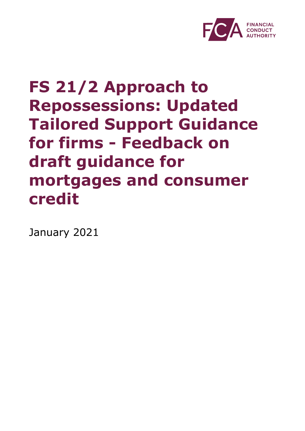

# **FS 21/2 Approach to Repossessions: Updated Tailored Support Guidance for firms - Feedback on draft guidance for mortgages and consumer credit**

January 2021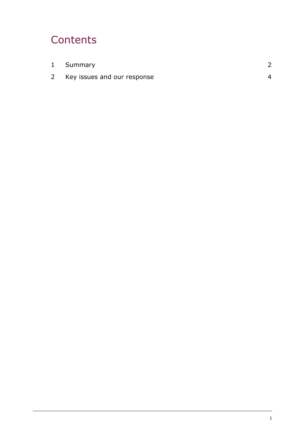# **Contents**

| 1 Summary                   |  |
|-----------------------------|--|
| Key issues and our response |  |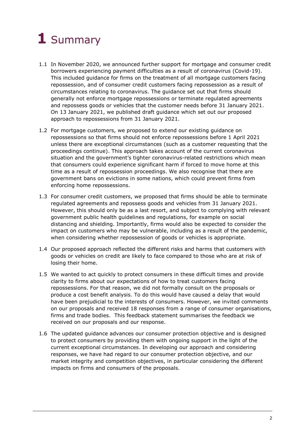# <span id="page-2-0"></span>**1** Summary

- 1.1 In November 2020, we announced further support for mortgage and consumer credit borrowers experiencing payment difficulties as a result of coronavirus (Covid-19). This included guidance for firms on the treatment of all mortgage customers facing repossession, and of consumer credit customers facing repossession as a result of circumstances relating to coronavirus. The guidance set out that firms should generally not enforce mortgage repossessions or terminate regulated agreements and repossess goods or vehicles that the customer needs before 31 January 2021. On 13 January 2021, we published draft guidance which set out our proposed approach to repossessions from 31 January 2021.
- 1.2 For mortgage customers, we proposed to extend our existing guidance on repossessions so that firms should not enforce repossessions before 1 April 2021 unless there are exceptional circumstances (such as a customer requesting that the proceedings continue). This approach takes account of the current coronavirus situation and the government's tighter coronavirus-related restrictions which mean that consumers could experience significant harm if forced to move home at this time as a result of repossession proceedings. We also recognise that there are government bans on evictions in some nations, which could prevent firms from enforcing home repossessions.
- 1.3 For consumer credit customers, we proposed that firms should be able to terminate regulated agreements and repossess goods and vehicles from 31 January 2021. However, this should only be as a last resort, and subject to complying with relevant government public health guidelines and regulations, for example on social distancing and shielding. Importantly, firms would also be expected to consider the impact on customers who may be vulnerable, including as a result of the pandemic, when considering whether repossession of goods or vehicles is appropriate.
- 1.4 Our proposed approach reflected the different risks and harms that customers with goods or vehicles on credit are likely to face compared to those who are at risk of losing their home.
- 1.5 We wanted to act quickly to protect consumers in these difficult times and provide clarity to firms about our expectations of how to treat customers facing repossessions. For that reason, we did not formally consult on the proposals or produce a cost benefit analysis. To do this would have caused a delay that would have been prejudicial to the interests of consumers. However, we invited comments on our proposals and received 18 responses from a range of consumer organisations, firms and trade bodies. This feedback statement summarises the feedback we received on our proposals and our response.
- 1.6 The updated guidance advances our consumer protection objective and is designed to protect consumers by providing them with ongoing support in the light of the current exceptional circumstances. In developing our approach and considering responses, we have had regard to our consumer protection objective, and our market integrity and competition objectives, in particular considering the different impacts on firms and consumers of the proposals.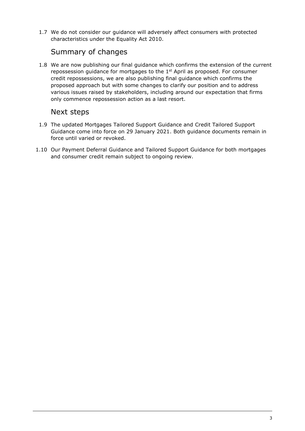1.7 We do not consider our guidance will adversely affect consumers with protected characteristics under the Equality Act 2010.

## Summary of changes

1.8 We are now publishing our final guidance which confirms the extension of the current repossession guidance for mortgages to the  $1<sup>st</sup>$  April as proposed. For consumer credit repossessions, we are also publishing final guidance which confirms the proposed approach but with some changes to clarify our position and to address various issues raised by stakeholders, including around our expectation that firms only commence repossession action as a last resort.

### Next steps

- 1.9 The updated Mortgages Tailored Support Guidance and Credit Tailored Support Guidance come into force on 29 January 2021. Both guidance documents remain in force until varied or revoked.
- 1.10 Our Payment Deferral Guidance and Tailored Support Guidance for both mortgages and consumer credit remain subject to ongoing review.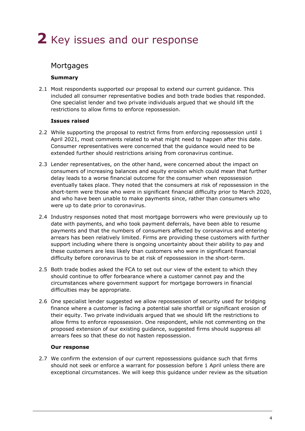# <span id="page-4-0"></span>**2** Key issues and our response

## **Mortgages**

#### **Summary**

2.1 Most respondents supported our proposal to extend our current guidance. This included all consumer representative bodies and both trade bodies that responded. One specialist lender and two private individuals argued that we should lift the restrictions to allow firms to enforce repossession.

#### **Issues raised**

- 2.2 While supporting the proposal to restrict firms from enforcing repossession until 1 April 2021, most comments related to what might need to happen after this date. Consumer representatives were concerned that the guidance would need to be extended further should restrictions arising from coronavirus continue.
- 2.3 Lender representatives, on the other hand, were concerned about the impact on consumers of increasing balances and equity erosion which could mean that further delay leads to a worse financial outcome for the consumer when repossession eventually takes place. They noted that the consumers at risk of repossession in the short-term were those who were in significant financial difficulty prior to March 2020, and who have been unable to make payments since, rather than consumers who were up to date prior to coronavirus.
- 2.4 Industry responses noted that most mortgage borrowers who were previously up to date with payments, and who took payment deferrals, have been able to resume payments and that the numbers of consumers affected by coronavirus and entering arrears has been relatively limited. Firms are providing these customers with further support including where there is ongoing uncertainty about their ability to pay and these customers are less likely than customers who were in significant financial difficulty before coronavirus to be at risk of repossession in the short-term.
- 2.5 Both trade bodies asked the FCA to set out our view of the extent to which they should continue to offer forbearance where a customer cannot pay and the circumstances where government support for mortgage borrowers in financial difficulties may be appropriate.
- 2.6 One specialist lender suggested we allow repossession of security used for bridging finance where a customer is facing a potential sale shortfall or significant erosion of their equity. Two private individuals argued that we should lift the restrictions to allow firms to enforce repossession. One respondent, while not commenting on the proposed extension of our existing guidance, suggested firms should suppress all arrears fees so that these do not hasten repossession.

#### **Our response**

2.7 We confirm the extension of our current repossessions guidance such that firms should not seek or enforce a warrant for possession before 1 April unless there are exceptional circumstances. We will keep this guidance under review as the situation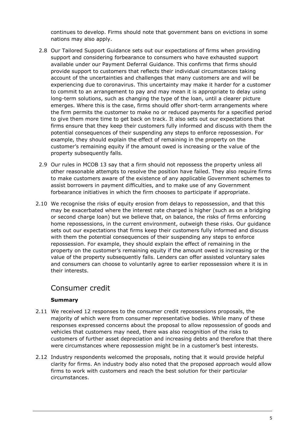continues to develop. Firms should note that government bans on evictions in some nations may also apply.

- 2.8 Our Tailored Support Guidance sets out our expectations of firms when providing support and considering forbearance to consumers who have exhausted support available under our Payment Deferral Guidance. This confirms that firms should provide support to customers that reflects their individual circumstances taking account of the uncertainties and challenges that many customers are and will be experiencing due to coronavirus. This uncertainty may make it harder for a customer to commit to an arrangement to pay and may mean it is appropriate to delay using long-term solutions, such as changing the type of the loan, until a clearer picture emerges. Where this is the case, firms should offer short-term arrangements where the firm permits the customer to make no or reduced payments for a specified period to give them more time to get back on track. It also sets out our expectations that firms ensure that they keep their customers fully informed and discuss with them the potential consequences of their suspending any steps to enforce repossession. For example, they should explain the effect of remaining in the property on the customer's remaining equity if the amount owed is increasing or the value of the property subsequently falls.
- 2.9 Our rules in MCOB 13 say that a firm should not repossess the property unless all other reasonable attempts to resolve the position have failed. They also require firms to make [customers](https://www.handbook.fca.org.uk/handbook/glossary/G252.html) aware of the existence of any applicable Government schemes to assist borrowers in payment difficulties, and to make use of any Government forbearance initiatives in which the [firm](https://www.handbook.fca.org.uk/handbook/glossary/G430.html) chooses to participate if appropriate.
- 2.10 We recognise the risks of equity erosion from delays to repossession, and that this may be exacerbated where the interest rate charged is higher (such as on a bridging or second charge loan) but we believe that, on balance, the risks of firms enforcing home repossessions, in the current environment, outweigh these risks. Our guidance sets out our expectations that firms keep their customers fully informed and discuss with them the potential consequences of their suspending any steps to enforce repossession. For example, they should explain the effect of remaining in the property on the customer's remaining equity if the amount owed is increasing or the value of the property subsequently falls. Lenders can offer assisted voluntary sales and consumers can choose to voluntarily agree to earlier repossession where it is in their interests.

### Consumer credit

#### **Summary**

- 2.11 We received 12 responses to the consumer credit repossessions proposals, the majority of which were from consumer representative bodies. While many of these responses expressed concerns about the proposal to allow repossession of goods and vehicles that customers may need, there was also recognition of the risks to customers of further asset depreciation and increasing debts and therefore that there were circumstances where repossession might be in a customer's best interests.
- 2.12 Industry respondents welcomed the proposals, noting that it would provide helpful clarity for firms. An industry body also noted that the proposed approach would allow firms to work with customers and reach the best solution for their particular circumstances.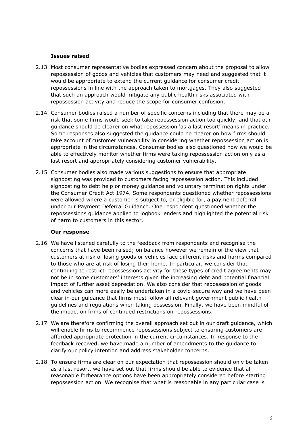#### **Issues raised**

- 2.13 Most consumer representative bodies expressed concern about the proposal to allow repossession of goods and vehicles that customers may need and suggested that it would be appropriate to extend the current guidance for consumer credit repossessions in line with the approach taken to mortgages. They also suggested that such an approach would mitigate any public health risks associated with repossession activity and reduce the scope for consumer confusion.
- 2.14 Consumer bodies raised a number of specific concerns including that there may be a risk that some firms would seek to take repossession action too quickly, and that our guidance should be clearer on what repossession 'as a last resort' means in practice. Some responses also suggested the guidance could be clearer on how firms should take account of customer vulnerability in considering whether repossession action is appropriate in the circumstances. Consumer bodies also questioned how we would be able to effectively monitor whether firms were taking repossession action only as a last resort and appropriately considering customer vulnerability.
- 2.15 Consumer bodies also made various suggestions to ensure that appropriate signposting was provided to customers facing repossession action. This included signposting to debt help or money guidance and voluntary termination rights under the Consumer Credit Act 1974. Some respondents questioned whether repossessions were allowed where a customer is subject to, or eligible for, a payment deferral under our Payment Deferral Guidance. One respondent questioned whether the repossessions guidance applied to logbook lenders and highlighted the potential risk of harm to customers in this sector.

#### **Our response**

- 2.16 We have listened carefully to the feedback from respondents and recognise the concerns that have been raised; on balance however we remain of the view that customers at risk of losing goods or vehicles face different risks and harms compared to those who are at risk of losing their home. In particular, we consider that continuing to restrict repossessions activity for these types of credit agreements may not be in some customers' interests given the increasing debt and potential financial impact of further asset depreciation. We also consider that repossession of goods and vehicles can more easily be undertaken in a covid-secure way and we have been clear in our guidance that firms must follow all relevant government public health guidelines and regulations when taking possession. Finally, we have been mindful of the impact on firms of continued restrictions on repossessions.
- 2.17 We are therefore confirming the overall approach set out in our draft guidance, which will enable firms to recommence repossessions subject to ensuring customers are afforded appropriate protection in the current circumstances. In response to the feedback received, we have made a number of amendments to the guidance to clarify our policy intention and address stakeholder concerns.
- 2.18 To ensure firms are clear on our expectation that repossession should only be taken as a last resort, we have set out that firms should be able to evidence that all reasonable forbearance options have been appropriately considered before starting repossession action. We recognise that what is reasonable in any particular case is